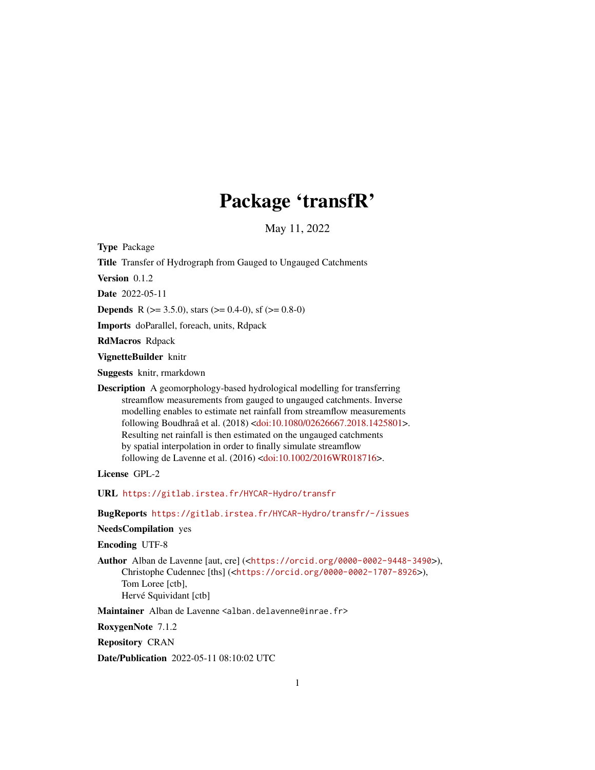# Package 'transfR'

May 11, 2022

<span id="page-0-0"></span>Type Package Title Transfer of Hydrograph from Gauged to Ungauged Catchments Version 0.1.2 Date 2022-05-11 **Depends** R ( $>= 3.5.0$ ), stars ( $>= 0.4-0$ ), sf ( $>= 0.8-0$ ) Imports doParallel, foreach, units, Rdpack RdMacros Rdpack VignetteBuilder knitr Suggests knitr, rmarkdown Description A geomorphology-based hydrological modelling for transferring streamflow measurements from gauged to ungauged catchments. Inverse modelling enables to estimate net rainfall from streamflow measurements following Boudhraâ et al. (2018) [<doi:10.1080/02626667.2018.1425801>](https://doi.org/10.1080/02626667.2018.1425801). Resulting net rainfall is then estimated on the ungauged catchments by spatial interpolation in order to finally simulate streamflow following de Lavenne et al. (2016) [<doi:10.1002/2016WR018716>](https://doi.org/10.1002/2016WR018716). License GPL-2 URL <https://gitlab.irstea.fr/HYCAR-Hydro/transfr> BugReports <https://gitlab.irstea.fr/HYCAR-Hydro/transfr/-/issues> NeedsCompilation yes

Encoding UTF-8

Author Alban de Lavenne [aut, cre] (<<https://orcid.org/0000-0002-9448-3490>>), Christophe Cudennec [ths] (<<https://orcid.org/0000-0002-1707-8926>>), Tom Loree [ctb], Hervé Squividant [ctb]

Maintainer Alban de Lavenne <alban.delavenne@inrae.fr>

RoxygenNote 7.1.2

Repository CRAN

Date/Publication 2022-05-11 08:10:02 UTC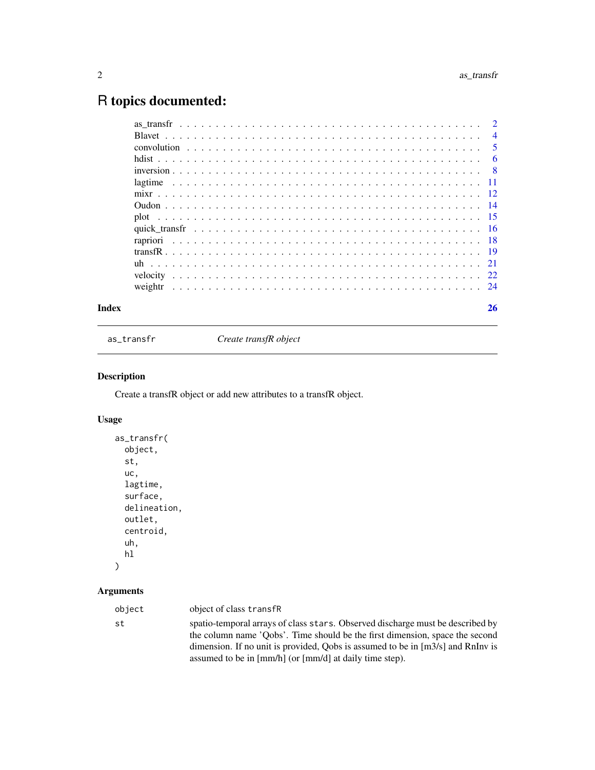## <span id="page-1-0"></span>R topics documented:

| $\overline{4}$ |
|----------------|
| -5             |
| 6              |
|                |
|                |
|                |
|                |
|                |
|                |
|                |
|                |
|                |
|                |
|                |
|                |

#### **Index** [26](#page-25-0)

<span id="page-1-1"></span>as\_transfr *Create transfR object*

#### Description

Create a transfR object or add new attributes to a transfR object.

#### Usage

```
as_transfr(
 object,
 st,
 uc,
  lagtime,
  surface,
 delineation,
 outlet,
 centroid,
 uh,
 hl
)
```

| object | object of class transfR                                                                                                                                                                                                                                                                                        |
|--------|----------------------------------------------------------------------------------------------------------------------------------------------------------------------------------------------------------------------------------------------------------------------------------------------------------------|
| st     | spatio-temporal arrays of class stars. Observed discharge must be described by<br>the column name 'Oobs'. Time should be the first dimension, space the second<br>dimension. If no unit is provided, Oobs is assumed to be in $[m3/s]$ and RnInv is<br>assumed to be in [mm/h] (or [mm/d] at daily time step). |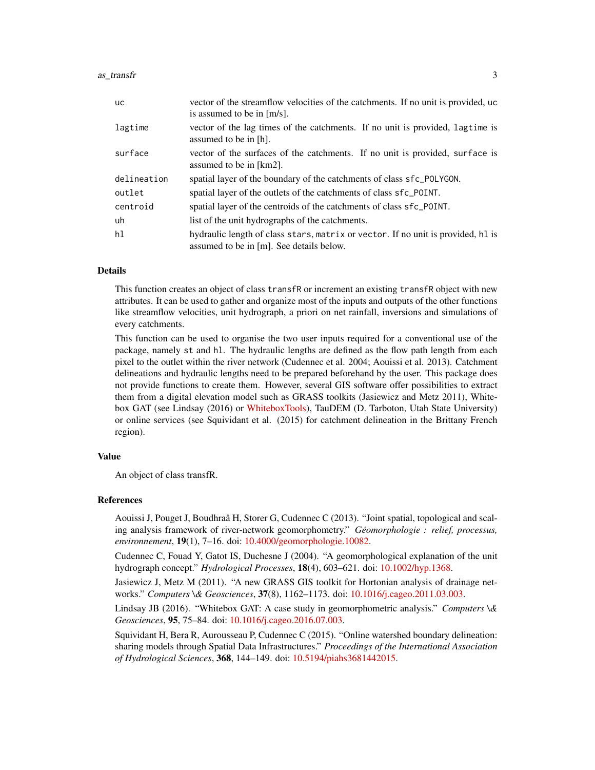#### $\frac{1}{3}$  as  $\frac{1}{3}$

| <b>uc</b>   | vector of the streamflow velocities of the catchments. If no unit is provided, uc<br>is assumed to be in [m/s].              |
|-------------|------------------------------------------------------------------------------------------------------------------------------|
| lagtime     | vector of the lag times of the catchments. If no unit is provided, lagtime is<br>assumed to be in [h].                       |
| surface     | vector of the surfaces of the catchments. If no unit is provided, surface is<br>assumed to be in [km2].                      |
| delineation | spatial layer of the boundary of the catchments of class sfc_POLYGON.                                                        |
| outlet      | spatial layer of the outlets of the catchments of class sfc_POINT.                                                           |
| centroid    | spatial layer of the centroids of the catchments of class sfc_POINT.                                                         |
| uh          | list of the unit hydrographs of the catchments.                                                                              |
| hl          | hydraulic length of class stars, matrix or vector. If no unit is provided, hl is<br>assumed to be in [m]. See details below. |

#### Details

This function creates an object of class transfR or increment an existing transfR object with new attributes. It can be used to gather and organize most of the inputs and outputs of the other functions like streamflow velocities, unit hydrograph, a priori on net rainfall, inversions and simulations of every catchments.

This function can be used to organise the two user inputs required for a conventional use of the package, namely st and hl. The hydraulic lengths are defined as the flow path length from each pixel to the outlet within the river network (Cudennec et al. 2004; Aouissi et al. 2013). Catchment delineations and hydraulic lengths need to be prepared beforehand by the user. This package does not provide functions to create them. However, several GIS software offer possibilities to extract them from a digital elevation model such as GRASS toolkits (Jasiewicz and Metz 2011), Whitebox GAT (see Lindsay (2016) or [WhiteboxTools\)](https://github.com/jblindsay/whitebox-tools), TauDEM (D. Tarboton, Utah State University) or online services (see Squividant et al. (2015) for catchment delineation in the Brittany French region).

#### Value

An object of class transfR.

#### References

Aouissi J, Pouget J, Boudhraâ H, Storer G, Cudennec C (2013). "Joint spatial, topological and scaling analysis framework of river-network geomorphometry." *Géomorphologie : relief, processus, environnement*, 19(1), 7–16. doi: [10.4000/geomorphologie.10082.](https://doi.org/10.4000/geomorphologie.10082)

Cudennec C, Fouad Y, Gatot IS, Duchesne J (2004). "A geomorphological explanation of the unit hydrograph concept." *Hydrological Processes*, 18(4), 603–621. doi: [10.1002/hyp.1368.](https://doi.org/10.1002/hyp.1368)

Jasiewicz J, Metz M (2011). "A new GRASS GIS toolkit for Hortonian analysis of drainage networks." *Computers \& Geosciences*, 37(8), 1162–1173. doi: [10.1016/j.cageo.2011.03.003.](https://doi.org/10.1016/j.cageo.2011.03.003)

Lindsay JB (2016). "Whitebox GAT: A case study in geomorphometric analysis." *Computers \& Geosciences*, 95, 75–84. doi: [10.1016/j.cageo.2016.07.003.](https://doi.org/10.1016/j.cageo.2016.07.003)

Squividant H, Bera R, Aurousseau P, Cudennec C (2015). "Online watershed boundary delineation: sharing models through Spatial Data Infrastructures." *Proceedings of the International Association of Hydrological Sciences*, 368, 144–149. doi: [10.5194/piahs3681442015.](https://doi.org/10.5194/piahs-368-144-2015)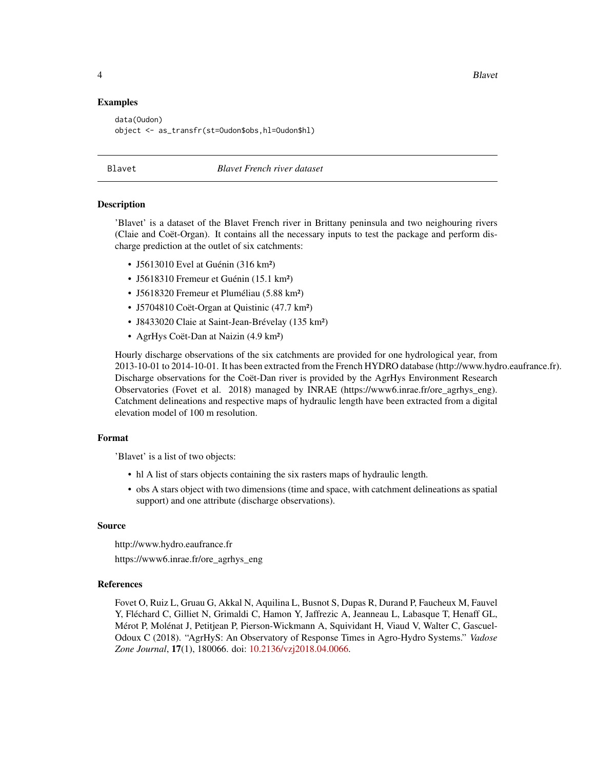4 Blavet

#### Examples

```
data(Oudon)
object <- as_transfr(st=Oudon$obs,hl=Oudon$hl)
```
<span id="page-3-1"></span>Blavet *Blavet French river dataset*

#### **Description**

'Blavet' is a dataset of the Blavet French river in Brittany peninsula and two neighouring rivers (Claie and Coët-Organ). It contains all the necessary inputs to test the package and perform discharge prediction at the outlet of six catchments:

- J5613010 Evel at Guénin (316 km<sup>2</sup>)
- J5618310 Fremeur et Guénin (15.1 km²)
- J5618320 Fremeur et Pluméliau (5.88 km²)
- J5704810 Coët-Organ at Quistinic (47.7 km²)
- J8433020 Claie at Saint-Jean-Brévelay (135 km²)
- AgrHys Coët-Dan at Naizin (4.9 km²)

Hourly discharge observations of the six catchments are provided for one hydrological year, from 2013-10-01 to 2014-10-01. It has been extracted from the French HYDRO database (http://www.hydro.eaufrance.fr). Discharge observations for the Coët-Dan river is provided by the AgrHys Environment Research Observatories (Fovet et al. 2018) managed by INRAE (https://www6.inrae.fr/ore\_agrhys\_eng). Catchment delineations and respective maps of hydraulic length have been extracted from a digital elevation model of 100 m resolution.

#### Format

'Blavet' is a list of two objects:

- hl A list of stars objects containing the six rasters maps of hydraulic length.
- obs A stars object with two dimensions (time and space, with catchment delineations as spatial support) and one attribute (discharge observations).

#### Source

http://www.hydro.eaufrance.fr https://www6.inrae.fr/ore\_agrhys\_eng

#### References

Fovet O, Ruiz L, Gruau G, Akkal N, Aquilina L, Busnot S, Dupas R, Durand P, Faucheux M, Fauvel Y, Fléchard C, Gilliet N, Grimaldi C, Hamon Y, Jaffrezic A, Jeanneau L, Labasque T, Henaff GL, Mérot P, Molénat J, Petitjean P, Pierson-Wickmann A, Squividant H, Viaud V, Walter C, Gascuel-Odoux C (2018). "AgrHyS: An Observatory of Response Times in Agro-Hydro Systems." *Vadose Zone Journal*, 17(1), 180066. doi: [10.2136/vzj2018.04.0066.](https://doi.org/10.2136/vzj2018.04.0066)

<span id="page-3-0"></span>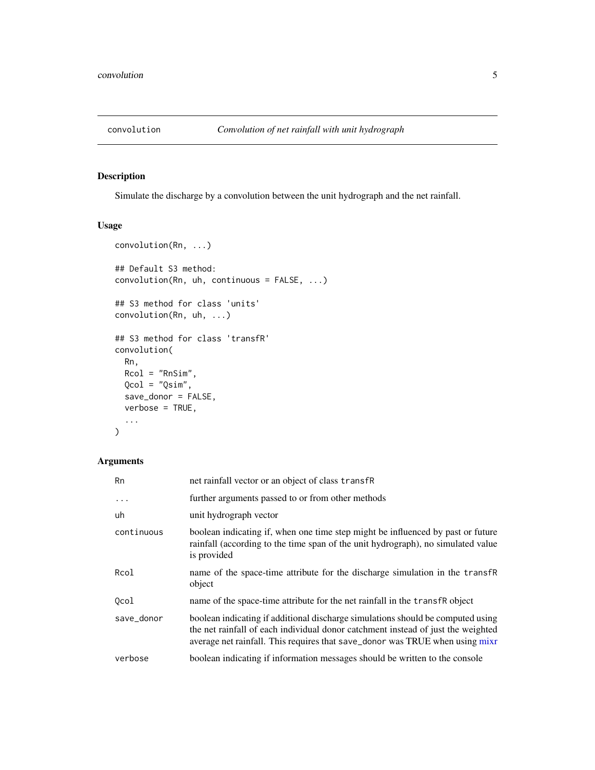<span id="page-4-1"></span><span id="page-4-0"></span>

#### Description

Simulate the discharge by a convolution between the unit hydrograph and the net rainfall.

#### Usage

```
convolution(Rn, ...)
## Default S3 method:
convolution(Rn, uh, continuous = FALSE, ...)
## S3 method for class 'units'
convolution(Rn, uh, ...)
## S3 method for class 'transfR'
convolution(
 Rn,
 Rcol = "RnSim",
 Qcol = "Qsim",
  save_donor = FALSE,
 verbose = TRUE,
  ...
)
```

| <b>Rn</b>  | net rainfall vector or an object of class transfR                                                                                                                                                                                                   |  |
|------------|-----------------------------------------------------------------------------------------------------------------------------------------------------------------------------------------------------------------------------------------------------|--|
| $\ddots$   | further arguments passed to or from other methods                                                                                                                                                                                                   |  |
| uh         | unit hydrograph vector                                                                                                                                                                                                                              |  |
| continuous | boolean indicating if, when one time step might be influenced by past or future<br>rainfall (according to the time span of the unit hydrograph), no simulated value<br>is provided                                                                  |  |
| Rcol       | name of the space-time attribute for the discharge simulation in the transfr<br>object                                                                                                                                                              |  |
| 0col       | name of the space-time attribute for the net rainfall in the transfr object                                                                                                                                                                         |  |
| save_donor | boolean indicating if additional discharge simulations should be computed using<br>the net rainfall of each individual donor catchment instead of just the weighted<br>average net rainfall. This requires that save_donor was TRUE when using mixr |  |
| verbose    | boolean indicating if information messages should be written to the console                                                                                                                                                                         |  |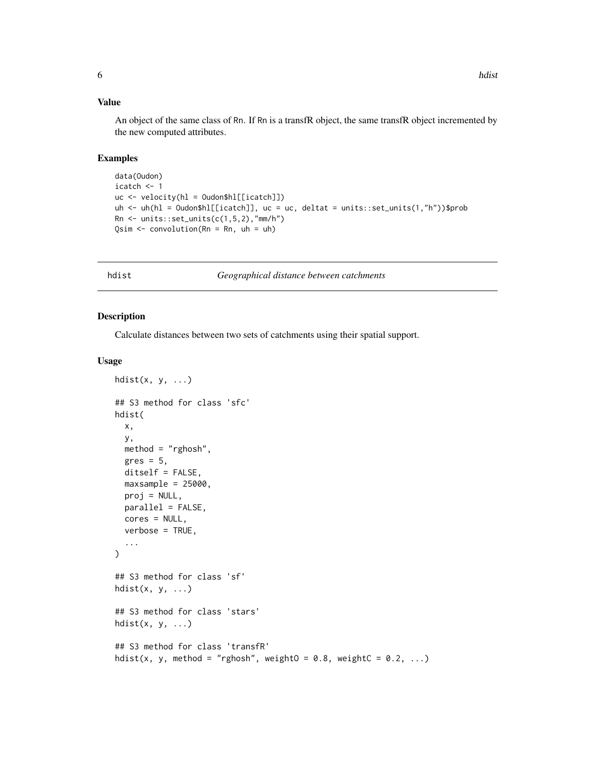#### <span id="page-5-0"></span>Value

An object of the same class of Rn. If Rn is a transfR object, the same transfR object incremented by the new computed attributes.

#### Examples

```
data(Oudon)
icatch <- 1
uc <- velocity(hl = Oudon$hl[[icatch]])
uh <- uh(hl = Oudon$hl[[icatch]], uc = uc, deltat = units::set_units(1,"h"))$prob
Rn \le units::set_units(c(1,5,2),"mm/h")
Qsim <- convolution(Rn = Rn, uh = uh)
```
<span id="page-5-1"></span>hdist *Geographical distance between catchments*

#### Description

Calculate distances between two sets of catchments using their spatial support.

#### Usage

```
hdist(x, y, \ldots)## S3 method for class 'sfc'
hdist(
  x,
 y,
 method = "rghosh",
  gres = 5,ditself = FALSE,
 maxsample = 25000,
 proj = NULL,
 parallel = FALSE,
  cores = NULL,
  verbose = TRUE,
  ...
)
## S3 method for class 'sf'
hdist(x, y, ...)## S3 method for class 'stars'
hdist(x, y, \ldots)## S3 method for class 'transfR'
hdist(x, y, method = "rghosh", weightO = 0.8, weightC = 0.2, ...)
```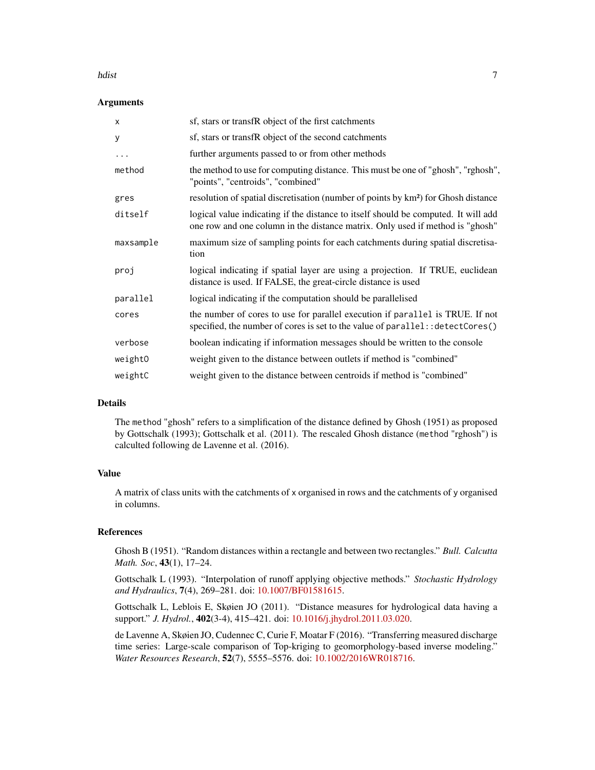#### hdist 2008 – 2008 var den større af de større af de større af de større af de større af de større af de større

#### **Arguments**

| X         | sf, stars or transfR object of the first catchments                                                                                                                 |
|-----------|---------------------------------------------------------------------------------------------------------------------------------------------------------------------|
| У         | sf, stars or transfR object of the second catchments                                                                                                                |
| .         | further arguments passed to or from other methods                                                                                                                   |
| method    | the method to use for computing distance. This must be one of "ghosh", "rghosh",<br>"points", "centroids", "combined"                                               |
| gres      | resolution of spatial discretisation (number of points by km <sup>2</sup> ) for Ghosh distance                                                                      |
| ditself   | logical value indicating if the distance to itself should be computed. It will add<br>one row and one column in the distance matrix. Only used if method is "ghosh" |
| maxsample | maximum size of sampling points for each catchments during spatial discretisa-<br>tion                                                                              |
| proj      | logical indicating if spatial layer are using a projection. If TRUE, euclidean<br>distance is used. If FALSE, the great-circle distance is used                     |
| parallel  | logical indicating if the computation should be parallelised                                                                                                        |
| cores     | the number of cores to use for parallel execution if parallel is TRUE. If not<br>specified, the number of cores is set to the value of parallel:: detectCores()     |
| verbose   | boolean indicating if information messages should be written to the console                                                                                         |
| weight0   | weight given to the distance between outlets if method is "combined"                                                                                                |
| weightC   | weight given to the distance between centroids if method is "combined"                                                                                              |
|           |                                                                                                                                                                     |

#### Details

The method "ghosh" refers to a simplification of the distance defined by Ghosh (1951) as proposed by Gottschalk (1993); Gottschalk et al. (2011). The rescaled Ghosh distance (method "rghosh") is calculted following de Lavenne et al. (2016).

#### Value

A matrix of class units with the catchments of x organised in rows and the catchments of y organised in columns.

#### References

Ghosh B (1951). "Random distances within a rectangle and between two rectangles." *Bull. Calcutta Math. Soc*, 43(1), 17–24.

Gottschalk L (1993). "Interpolation of runoff applying objective methods." *Stochastic Hydrology and Hydraulics*, 7(4), 269–281. doi: [10.1007/BF01581615.](https://doi.org/10.1007/BF01581615)

Gottschalk L, Leblois E, Skøien JO (2011). "Distance measures for hydrological data having a support." *J. Hydrol.*, 402(3-4), 415–421. doi: [10.1016/j.jhydrol.2011.03.020.](https://doi.org/10.1016/j.jhydrol.2011.03.020)

de Lavenne A, Skøien JO, Cudennec C, Curie F, Moatar F (2016). "Transferring measured discharge time series: Large-scale comparison of Top-kriging to geomorphology-based inverse modeling." *Water Resources Research*, 52(7), 5555–5576. doi: [10.1002/2016WR018716.](https://doi.org/10.1002/2016WR018716)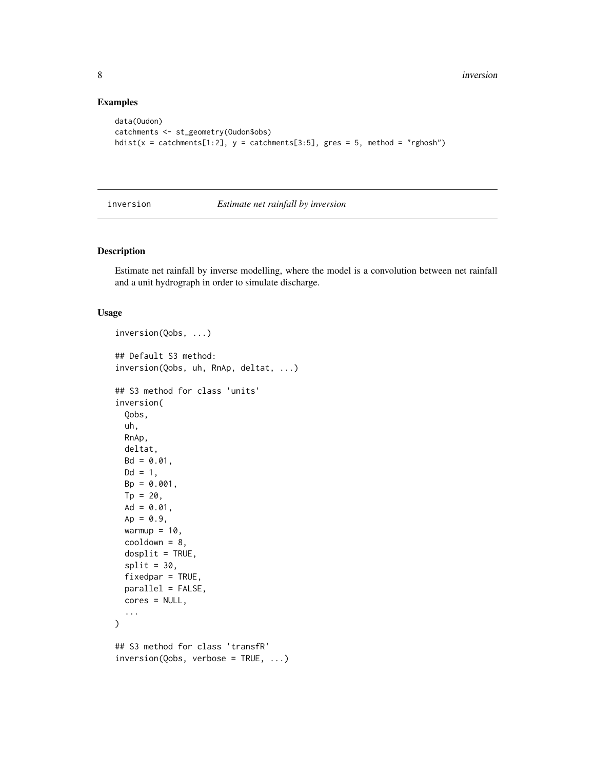#### Examples

```
data(Oudon)
catchments <- st_geometry(Oudon$obs)
hdist(x = catchments[1:2], y = catchments[3:5], gres = 5, method = "rghosh")
```
<span id="page-7-1"></span>inversion *Estimate net rainfall by inversion*

#### Description

Estimate net rainfall by inverse modelling, where the model is a convolution between net rainfall and a unit hydrograph in order to simulate discharge.

#### Usage

```
inversion(Qobs, ...)
## Default S3 method:
inversion(Qobs, uh, RnAp, deltat, ...)
## S3 method for class 'units'
inversion(
 Qobs,
 uh,
 RnAp,
 deltat,
 Bd = 0.01,
 Dd = 1,
 Bp = 0.001,
 Tp = 20,Ad = 0.01,
 Ap = 0.9,warmup = 10,
 cooldown = 8,
 dosplit = TRUE,split = 30,fixedpar = TRUE,parallel = FALSE,
 cores = NULL,
  ...
\lambda## S3 method for class 'transfR'
inversion(Qobs, verbose = TRUE, ...)
```
<span id="page-7-0"></span>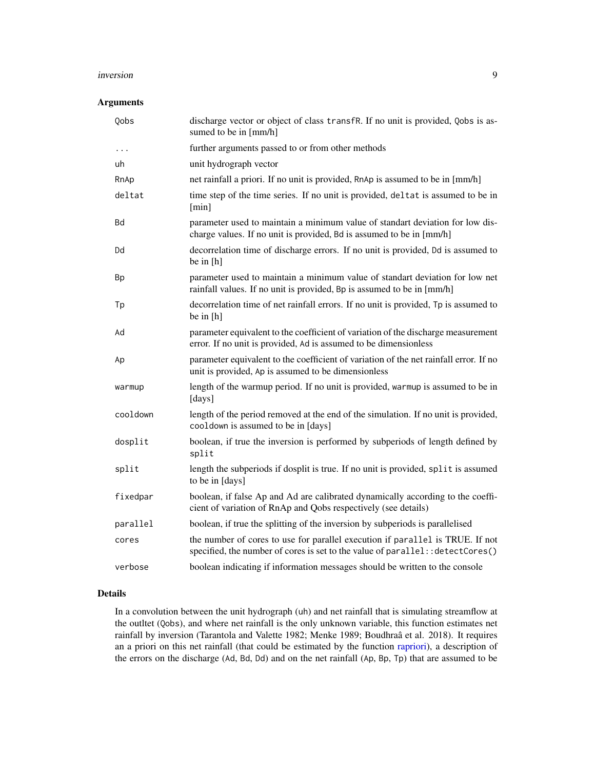#### <span id="page-8-0"></span>inversion 9

#### Arguments

| Qobs      | discharge vector or object of class transfR. If no unit is provided, Qobs is as-<br>sumed to be in [mm/h]                                                       |
|-----------|-----------------------------------------------------------------------------------------------------------------------------------------------------------------|
| $\ddots$  | further arguments passed to or from other methods                                                                                                               |
| uh        | unit hydrograph vector                                                                                                                                          |
| RnAp      | net rainfall a priori. If no unit is provided, RnAp is assumed to be in [mm/h]                                                                                  |
| deltat    | time step of the time series. If no unit is provided, deltat is assumed to be in<br>[min]                                                                       |
| Bd        | parameter used to maintain a minimum value of standart deviation for low dis-<br>charge values. If no unit is provided, Bd is assumed to be in [mm/h]           |
| Dd        | decorrelation time of discharge errors. If no unit is provided, Dd is assumed to<br>be in $[h]$                                                                 |
| <b>Bp</b> | parameter used to maintain a minimum value of standart deviation for low net<br>rainfall values. If no unit is provided, Bp is assumed to be in [mm/h]          |
| Tp        | decorrelation time of net rainfall errors. If no unit is provided, Tp is assumed to<br>be in [h]                                                                |
| Ad        | parameter equivalent to the coefficient of variation of the discharge measurement<br>error. If no unit is provided, Ad is assumed to be dimensionless           |
| Ap        | parameter equivalent to the coefficient of variation of the net rainfall error. If no<br>unit is provided, Ap is assumed to be dimensionless                    |
| warmup    | length of the warmup period. If no unit is provided, warmup is assumed to be in<br>[days]                                                                       |
| cooldown  | length of the period removed at the end of the simulation. If no unit is provided,<br>cooldown is assumed to be in [days]                                       |
| dosplit   | boolean, if true the inversion is performed by subperiods of length defined by<br>split                                                                         |
| split     | length the subperiods if dosplit is true. If no unit is provided, split is assumed<br>to be in [days]                                                           |
| fixedpar  | boolean, if false Ap and Ad are calibrated dynamically according to the coeffi-<br>cient of variation of RnAp and Qobs respectively (see details)               |
| parallel  | boolean, if true the splitting of the inversion by subperiods is parallelised                                                                                   |
| cores     | the number of cores to use for parallel execution if parallel is TRUE. If not<br>specified, the number of cores is set to the value of parallel:: detectCores() |
| verbose   | boolean indicating if information messages should be written to the console                                                                                     |

#### Details

In a convolution between the unit hydrograph (uh) and net rainfall that is simulating streamflow at the outltet (Qobs), and where net rainfall is the only unknown variable, this function estimates net rainfall by inversion (Tarantola and Valette 1982; Menke 1989; Boudhraâ et al. 2018). It requires an a priori on this net rainfall (that could be estimated by the function [rapriori\)](#page-17-1), a description of the errors on the discharge (Ad, Bd, Dd) and on the net rainfall (Ap, Bp, Tp) that are assumed to be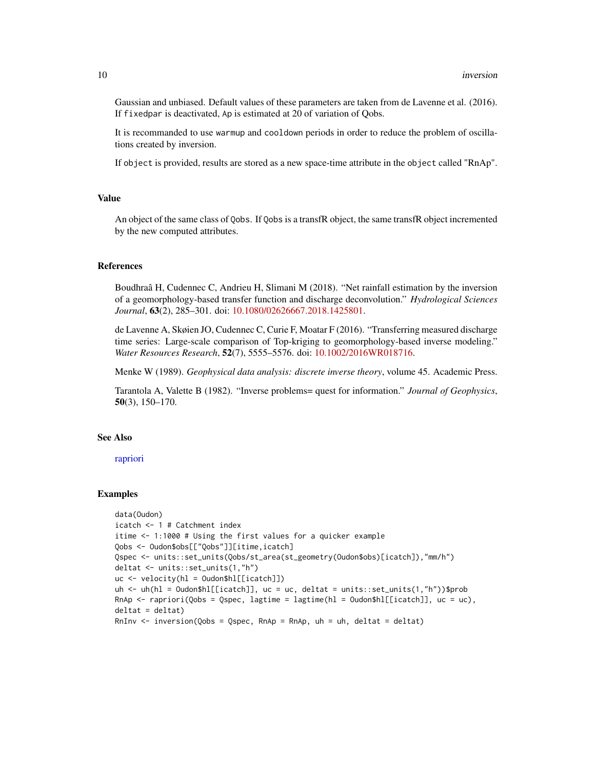Gaussian and unbiased. Default values of these parameters are taken from de Lavenne et al. (2016). If fixedpar is deactivated, Ap is estimated at 20 of variation of Qobs.

It is recommanded to use warmup and cooldown periods in order to reduce the problem of oscillations created by inversion.

If object is provided, results are stored as a new space-time attribute in the object called "RnAp".

#### Value

An object of the same class of Qobs. If Qobs is a transfR object, the same transfR object incremented by the new computed attributes.

#### References

Boudhraâ H, Cudennec C, Andrieu H, Slimani M (2018). "Net rainfall estimation by the inversion of a geomorphology-based transfer function and discharge deconvolution." *Hydrological Sciences Journal*, 63(2), 285–301. doi: [10.1080/02626667.2018.1425801.](https://doi.org/10.1080/02626667.2018.1425801)

de Lavenne A, Skøien JO, Cudennec C, Curie F, Moatar F (2016). "Transferring measured discharge time series: Large-scale comparison of Top-kriging to geomorphology-based inverse modeling." *Water Resources Research*, 52(7), 5555–5576. doi: [10.1002/2016WR018716.](https://doi.org/10.1002/2016WR018716)

Menke W (1989). *Geophysical data analysis: discrete inverse theory*, volume 45. Academic Press.

Tarantola A, Valette B (1982). "Inverse problems= quest for information." *Journal of Geophysics*, 50(3), 150–170.

#### See Also

[rapriori](#page-17-1)

#### Examples

```
data(Oudon)
icatch <- 1 # Catchment index
itime <- 1:1000 # Using the first values for a quicker example
Qobs <- Oudon$obs[["Qobs"]][itime,icatch]
Qspec <- units::set_units(Qobs/st_area(st_geometry(Oudon$obs)[icatch]),"mm/h")
deltat <- units::set_units(1,"h")
uc <- velocity(hl = Oudon$hl[[icatch]])
uh <- uh(hl = Oudon$hl[[icatch]], uc = uc, deltat = units::set_units(1,"h"))$prob
RnAp <- rapriori(Qobs = Qspec, lagtime = lagtime(hl = Oudon$hl[[icatch]], uc = uc),
deltat = deltat)
RnInv \le inversion(Qobs = Qspec, RnAp = RnAp, uh = uh, deltat = deltat)
```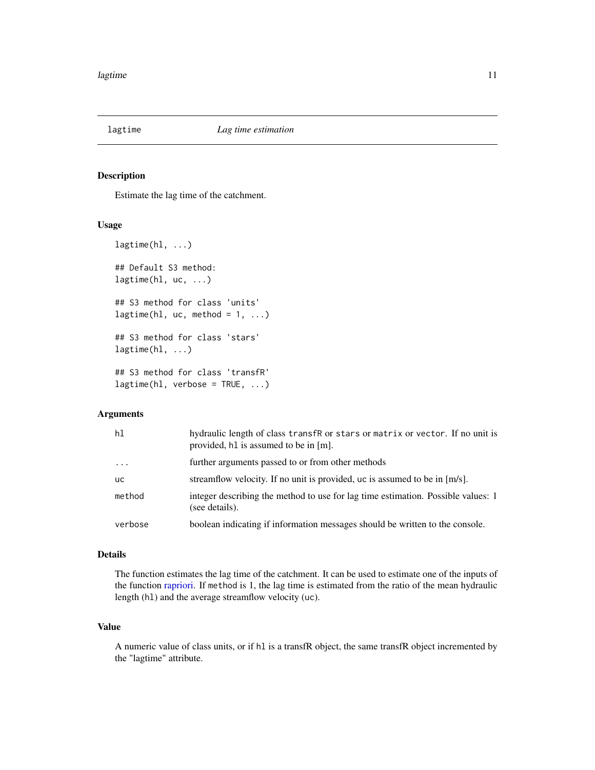<span id="page-10-1"></span><span id="page-10-0"></span>

#### Description

Estimate the lag time of the catchment.

#### Usage

```
lagtime(hl, ...)
## Default S3 method:
lagtime(hl, uc, ...)
## S3 method for class 'units'
lagtime(hl, uc, method = 1, ...)
## S3 method for class 'stars'
lagtime(hl, ...)
## S3 method for class 'transfR'
lagtime(h1, verbose = TRUE, ...)
```
#### Arguments

| hl        | hydraulic length of class transfR or stars or matrix or vector. If no unit is<br>provided, h1 is assumed to be in [m]. |
|-----------|------------------------------------------------------------------------------------------------------------------------|
| $\ddots$  | further arguments passed to or from other methods                                                                      |
| <b>uc</b> | streamflow velocity. If no unit is provided, uc is assumed to be in [m/s].                                             |
| method    | integer describing the method to use for lag time estimation. Possible values: 1<br>(see details).                     |
| verbose   | boolean indicating if information messages should be written to the console.                                           |

#### Details

The function estimates the lag time of the catchment. It can be used to estimate one of the inputs of the function [rapriori.](#page-17-1) If method is 1, the lag time is estimated from the ratio of the mean hydraulic length (hl) and the average streamflow velocity (uc).

#### Value

A numeric value of class units, or if hl is a transfR object, the same transfR object incremented by the "lagtime" attribute.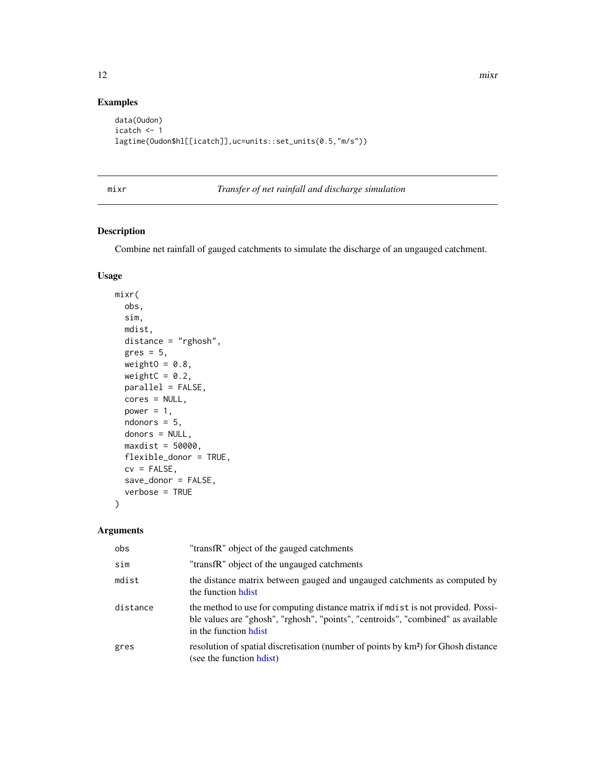#### Examples

```
data(Oudon)
icatch <- 1
lagtime(Oudon$hl[[icatch]],uc=units::set_units(0.5,"m/s"))
```
#### <span id="page-11-1"></span>mixr *Transfer of net rainfall and discharge simulation*

#### Description

Combine net rainfall of gauged catchments to simulate the discharge of an ungauged catchment.

#### Usage

```
mixr(
 obs,
  sim,
 mdist,
 distance = "rghosh",
 gres = 5,weightO = 0.8,
 weightC = 0.2,
 parallel = FALSE,
  cores = NULL,
  power = 1,
  ndonors = 5,
  donors = NULL,
 maxdist = 50000,
  flexible_donor = TRUE,
  cv = FALSE,save_donor = FALSE,
  verbose = TRUE
\mathcal{E}
```

| obs      | "transfR" object of the gauged catchments                                                                                                                                                      |
|----------|------------------------------------------------------------------------------------------------------------------------------------------------------------------------------------------------|
| sim      | "transfR" object of the ungauged catchments                                                                                                                                                    |
| mdist    | the distance matrix between gauged and ungauged catchments as computed by<br>the function hotel                                                                                                |
| distance | the method to use for computing distance matrix if modes is not provided. Possi-<br>ble values are "ghosh", "rghosh", "points", "centroids", "combined" as available<br>in the function hotest |
| gres     | resolution of spatial discretisation (number of points by km <sup>2</sup> ) for Ghosh distance<br>(see the function hdist)                                                                     |

<span id="page-11-0"></span>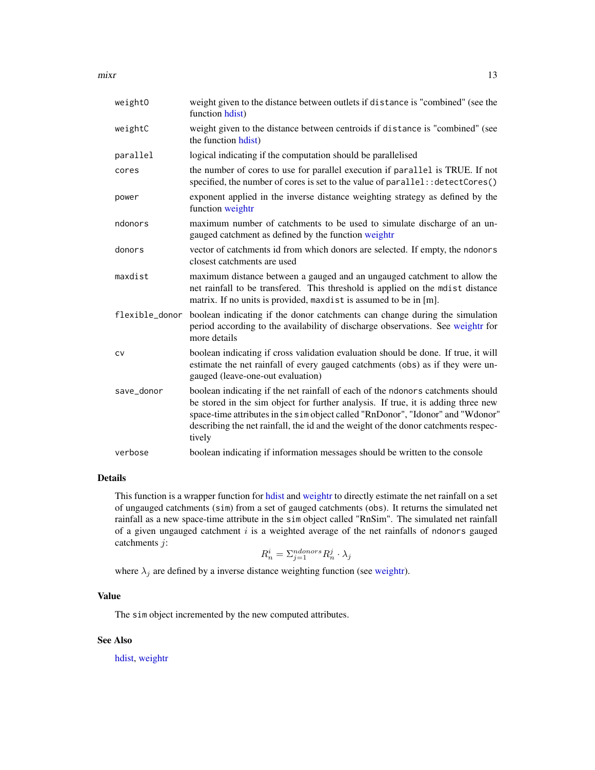<span id="page-12-0"></span> $\frac{m}{x}$  13

| weightO        | weight given to the distance between outlets if distance is "combined" (see the<br>function hdist)                                                                                                                                                                                                                                                      |
|----------------|---------------------------------------------------------------------------------------------------------------------------------------------------------------------------------------------------------------------------------------------------------------------------------------------------------------------------------------------------------|
| weightC        | weight given to the distance between centroids if distance is "combined" (see<br>the function hdist)                                                                                                                                                                                                                                                    |
| parallel       | logical indicating if the computation should be parallelised                                                                                                                                                                                                                                                                                            |
| cores          | the number of cores to use for parallel execution if parallel is TRUE. If not<br>specified, the number of cores is set to the value of parallel: : detectCores()                                                                                                                                                                                        |
| power          | exponent applied in the inverse distance weighting strategy as defined by the<br>function weightr                                                                                                                                                                                                                                                       |
| ndonors        | maximum number of catchments to be used to simulate discharge of an un-<br>gauged catchment as defined by the function weightr                                                                                                                                                                                                                          |
| donors         | vector of catchments id from which donors are selected. If empty, the ndonors<br>closest catchments are used                                                                                                                                                                                                                                            |
| maxdist        | maximum distance between a gauged and an ungauged catchment to allow the<br>net rainfall to be transfered. This threshold is applied on the mdist distance<br>matrix. If no units is provided, maxdist is assumed to be in [m].                                                                                                                         |
| flexible_donor | boolean indicating if the donor catchments can change during the simulation<br>period according to the availability of discharge observations. See weightr for<br>more details                                                                                                                                                                          |
| CV             | boolean indicating if cross validation evaluation should be done. If true, it will<br>estimate the net rainfall of every gauged catchments (obs) as if they were un-<br>gauged (leave-one-out evaluation)                                                                                                                                               |
| save_donor     | boolean indicating if the net rainfall of each of the ndonors catchments should<br>be stored in the sim object for further analysis. If true, it is adding three new<br>space-time attributes in the sim object called "RnDonor", "Idonor" and "Wdonor"<br>describing the net rainfall, the id and the weight of the donor catchments respec-<br>tively |
| verbose        | boolean indicating if information messages should be written to the console                                                                                                                                                                                                                                                                             |

#### Details

This function is a wrapper function for [hdist](#page-5-1) and [weightr](#page-23-1) to directly estimate the net rainfall on a set of ungauged catchments (sim) from a set of gauged catchments (obs). It returns the simulated net rainfall as a new space-time attribute in the sim object called "RnSim". The simulated net rainfall of a given ungauged catchment  $i$  is a weighted average of the net rainfalls of ndonors gauged catchments j:

$$
R_n^i = \sum_{j=1}^{ndonors} R_n^j \cdot \lambda_j
$$

where  $\lambda_j$  are defined by a inverse distance weighting function (see [weightr\)](#page-23-1).

#### Value

The sim object incremented by the new computed attributes.

#### See Also

[hdist,](#page-5-1) [weightr](#page-23-1)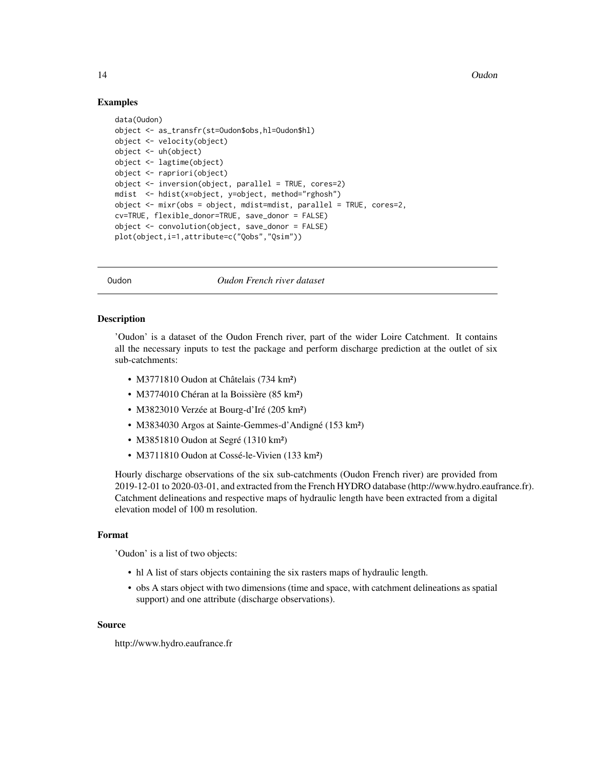#### Examples

```
data(Oudon)
object <- as_transfr(st=Oudon$obs,hl=Oudon$hl)
object <- velocity(object)
object <- uh(object)
object <- lagtime(object)
object <- rapriori(object)
object <- inversion(object, parallel = TRUE, cores=2)
mdist <- hdist(x=object, y=object, method="rghosh")
object \leq -mixr(obs = object, midst=mdist, parallel = TRUE, cores=2,cv=TRUE, flexible_donor=TRUE, save_donor = FALSE)
object <- convolution(object, save_donor = FALSE)
plot(object,i=1,attribute=c("Qobs","Qsim"))
```
Oudon *Oudon French river dataset*

#### Description

'Oudon' is a dataset of the Oudon French river, part of the wider Loire Catchment. It contains all the necessary inputs to test the package and perform discharge prediction at the outlet of six sub-catchments:

- M3771810 Oudon at Châtelais (734 km<sup>2</sup>)
- M3774010 Chéran at la Boissière (85 km<sup>2</sup>)
- M3823010 Verzée at Bourg-d'Iré (205 km²)
- M3834030 Argos at Sainte-Gemmes-d'Andigné (153 km²)
- M3851810 Oudon at Segré (1310 km<sup>2</sup>)
- M3711810 Oudon at Cossé-le-Vivien (133 km<sup>2</sup>)

Hourly discharge observations of the six sub-catchments (Oudon French river) are provided from 2019-12-01 to 2020-03-01, and extracted from the French HYDRO database (http://www.hydro.eaufrance.fr). Catchment delineations and respective maps of hydraulic length have been extracted from a digital elevation model of 100 m resolution.

#### Format

'Oudon' is a list of two objects:

- hl A list of stars objects containing the six rasters maps of hydraulic length.
- obs A stars object with two dimensions (time and space, with catchment delineations as spatial support) and one attribute (discharge observations).

#### Source

http://www.hydro.eaufrance.fr

<span id="page-13-0"></span>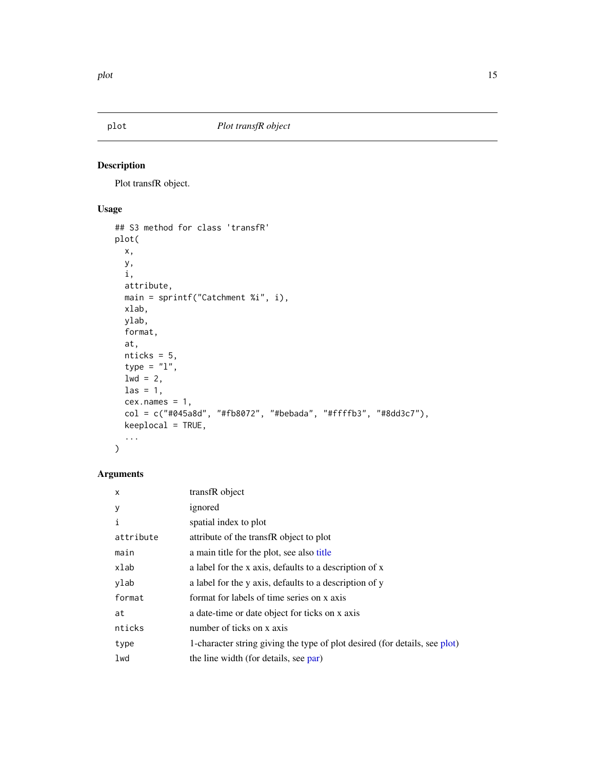<span id="page-14-1"></span><span id="page-14-0"></span>

#### Description

Plot transfR object.

#### Usage

```
## S3 method for class 'transfR'
plot(
 x,
 y,
 i,
 attribute,
 main = sprintf("Catchment %i", i),
 xlab,
 ylab,
 format,
 at,
 nticks = 5,
  type = "1",1wd = 2,\text{las} = 1,
 cex.name = 1,
 col = c("#045a8d", "#fb8072", "#bebada", "#ffffb3", "#8dd3c7"),keeplocal = TRUE,
  ...
\mathcal{L}
```

| X         | transfR object                                                             |
|-----------|----------------------------------------------------------------------------|
| у         | ignored                                                                    |
| i         | spatial index to plot                                                      |
| attribute | attribute of the transfR object to plot                                    |
| main      | a main title for the plot, see also title                                  |
| xlab      | a label for the x axis, defaults to a description of x                     |
| ylab      | a label for the y axis, defaults to a description of y                     |
| format    | format for labels of time series on x axis                                 |
| at        | a date-time or date object for ticks on x axis                             |
| nticks    | number of ticks on x axis                                                  |
| type      | 1-character string giving the type of plot desired (for details, see plot) |
| lwd       | the line width (for details, see par)                                      |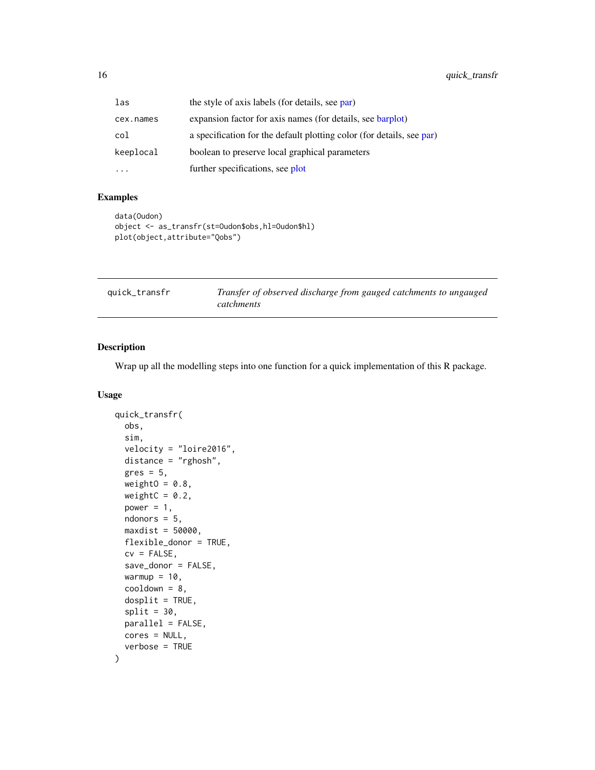<span id="page-15-0"></span>

| las       | the style of axis labels (for details, see par)                       |
|-----------|-----------------------------------------------------------------------|
| cex.names | expansion factor for axis names (for details, see barplot)            |
| col       | a specification for the default plotting color (for details, see par) |
| keeplocal | boolean to preserve local graphical parameters                        |
|           | further specifications, see plot                                      |

#### Examples

```
data(Oudon)
object <- as_transfr(st=Oudon$obs,hl=Oudon$hl)
plot(object,attribute="Qobs")
```

| quick_transfr | Transfer of observed discharge from gauged catchments to ungauged |
|---------------|-------------------------------------------------------------------|
|               | catchments                                                        |

#### Description

Wrap up all the modelling steps into one function for a quick implementation of this R package.

#### Usage

```
quick_transfr(
  obs,
  sim,
  velocity = "loire2016",
  distance = "rghosh",
  gres = 5,weightO = 0.8,
  weightC = 0.2,
  power = 1,
 ndonors = 5,
 maxdist = 50000,
  flexible_donor = TRUE,
  cv = FALSE,save_donor = FALSE,
  warmup = 10,
  cooldown = 8,
  dosplit = TRUE,split = 30,parallel = FALSE,
 cores = NULL,
  verbose = TRUE
\mathcal{E}
```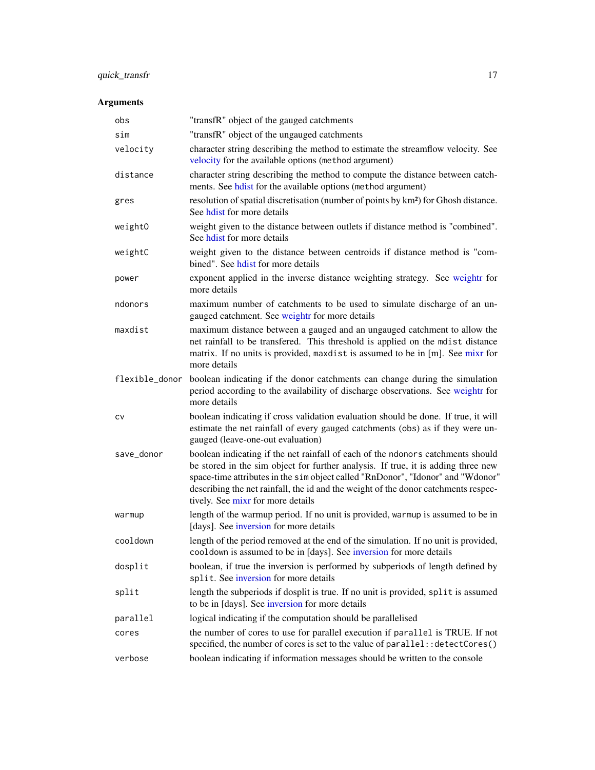### <span id="page-16-0"></span>quick\_transfr 17

| obs            | "transfR" object of the gauged catchments                                                                                                                                                                                                                                                                                                                                          |
|----------------|------------------------------------------------------------------------------------------------------------------------------------------------------------------------------------------------------------------------------------------------------------------------------------------------------------------------------------------------------------------------------------|
| sim            | "transfR" object of the ungauged catchments                                                                                                                                                                                                                                                                                                                                        |
| velocity       | character string describing the method to estimate the streamflow velocity. See<br>velocity for the available options (method argument)                                                                                                                                                                                                                                            |
| distance       | character string describing the method to compute the distance between catch-<br>ments. See hdist for the available options (method argument)                                                                                                                                                                                                                                      |
| gres           | resolution of spatial discretisation (number of points by km <sup>2</sup> ) for Ghosh distance.<br>See hdist for more details                                                                                                                                                                                                                                                      |
| weightO        | weight given to the distance between outlets if distance method is "combined".<br>See hot for more details                                                                                                                                                                                                                                                                         |
| weightC        | weight given to the distance between centroids if distance method is "com-<br>bined". See hot for more details                                                                                                                                                                                                                                                                     |
| power          | exponent applied in the inverse distance weighting strategy. See weightr for<br>more details                                                                                                                                                                                                                                                                                       |
| ndonors        | maximum number of catchments to be used to simulate discharge of an un-<br>gauged catchment. See weightr for more details                                                                                                                                                                                                                                                          |
| maxdist        | maximum distance between a gauged and an ungauged catchment to allow the<br>net rainfall to be transfered. This threshold is applied on the mdist distance<br>matrix. If no units is provided, maxdist is assumed to be in [m]. See mixr for<br>more details                                                                                                                       |
| flexible_donor | boolean indicating if the donor catchments can change during the simulation<br>period according to the availability of discharge observations. See weightr for<br>more details                                                                                                                                                                                                     |
| СV             | boolean indicating if cross validation evaluation should be done. If true, it will<br>estimate the net rainfall of every gauged catchments (obs) as if they were un-<br>gauged (leave-one-out evaluation)                                                                                                                                                                          |
| save_donor     | boolean indicating if the net rainfall of each of the ndonors catchments should<br>be stored in the sim object for further analysis. If true, it is adding three new<br>space-time attributes in the sim object called "RnDonor", "Idonor" and "Wdonor"<br>describing the net rainfall, the id and the weight of the donor catchments respec-<br>tively. See mixr for more details |
| warmup         | length of the warmup period. If no unit is provided, warmup is assumed to be in<br>[days]. See inversion for more details                                                                                                                                                                                                                                                          |
| cooldown       | length of the period removed at the end of the simulation. If no unit is provided,<br>cooldown is assumed to be in [days]. See inversion for more details                                                                                                                                                                                                                          |
| dosplit        | boolean, if true the inversion is performed by subperiods of length defined by<br>split. See inversion for more details                                                                                                                                                                                                                                                            |
| split          | length the subperiods if dosplit is true. If no unit is provided, split is assumed<br>to be in [days]. See inversion for more details                                                                                                                                                                                                                                              |
| parallel       | logical indicating if the computation should be parallelised                                                                                                                                                                                                                                                                                                                       |
| cores          | the number of cores to use for parallel execution if parallel is TRUE. If not<br>specified, the number of cores is set to the value of parallel:: detectCores()                                                                                                                                                                                                                    |
| verbose        | boolean indicating if information messages should be written to the console                                                                                                                                                                                                                                                                                                        |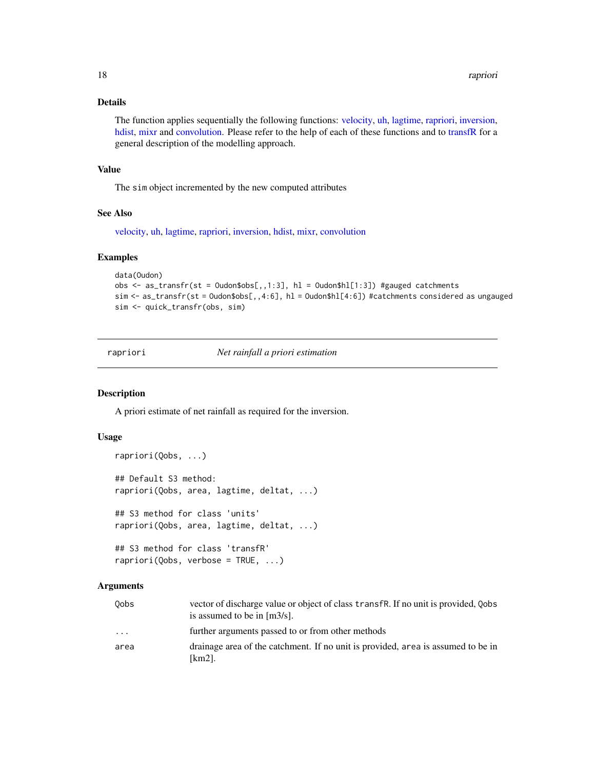#### <span id="page-17-0"></span>Details

The function applies sequentially the following functions: [velocity,](#page-21-1) [uh,](#page-20-1) [lagtime,](#page-10-1) [rapriori,](#page-17-1) [inversion,](#page-7-1) [hdist,](#page-5-1) [mixr](#page-11-1) and [convolution.](#page-4-1) Please refer to the help of each of these functions and to [transfR](#page-18-1) for a general description of the modelling approach.

#### Value

The sim object incremented by the new computed attributes

#### See Also

[velocity,](#page-21-1) [uh,](#page-20-1) [lagtime,](#page-10-1) [rapriori,](#page-17-1) [inversion,](#page-7-1) [hdist,](#page-5-1) [mixr,](#page-11-1) [convolution](#page-4-1)

#### Examples

```
data(Oudon)
obs \leq as_transfr(st = Oudon$obs[,,1:3], hl = Oudon$hl[1:3]) #gauged catchments
sim <- as_transfr(st = Oudon$obs[,,4:6], hl = Oudon$hl[4:6]) #catchments considered as ungauged
sim <- quick_transfr(obs, sim)
```
<span id="page-17-1"></span>rapriori *Net rainfall a priori estimation*

#### Description

A priori estimate of net rainfall as required for the inversion.

#### Usage

```
rapriori(Qobs, ...)
## Default S3 method:
rapriori(Qobs, area, lagtime, deltat, ...)
## S3 method for class 'units'
rapriori(Qobs, area, lagtime, deltat, ...)
## S3 method for class 'transfR'
```
rapriori(Qobs, verbose = TRUE, ...)

| 0obs | vector of discharge value or object of class transfr. If no unit is provided, Oobs<br>is assumed to be in $[m3/s]$ . |
|------|----------------------------------------------------------------------------------------------------------------------|
| .    | further arguments passed to or from other methods                                                                    |
| area | drainage area of the catchment. If no unit is provided, area is assumed to be in<br>[km2].                           |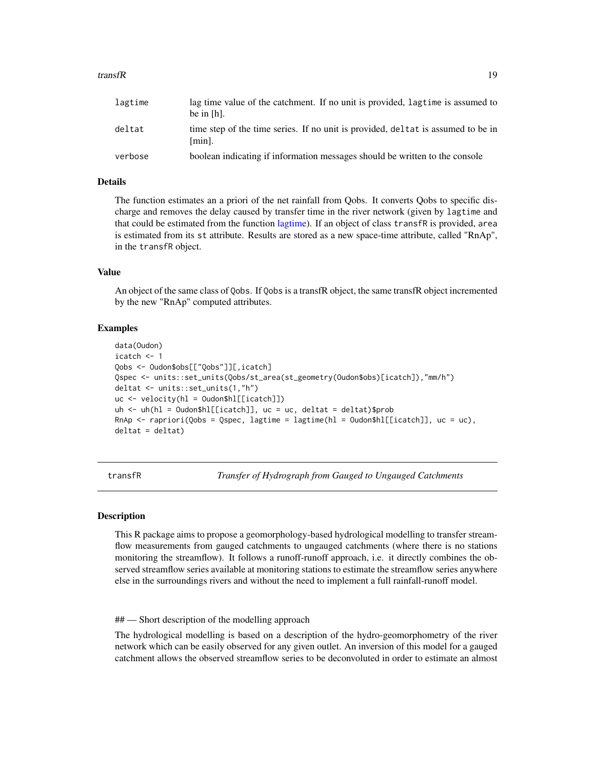#### <span id="page-18-0"></span>transfR 19

| lagtime | lag time value of the catchment. If no unit is provided, lagt ime is assumed to<br>be in $[h]$ . |
|---------|--------------------------------------------------------------------------------------------------|
| deltat  | time step of the time series. If no unit is provided, deletat is assumed to be in<br>[min].      |
| verbose | boolean indicating if information messages should be written to the console                      |

#### Details

The function estimates an a priori of the net rainfall from Qobs. It converts Qobs to specific discharge and removes the delay caused by transfer time in the river network (given by lagtime and that could be estimated from the function [lagtime\)](#page-10-1). If an object of class transfR is provided, area is estimated from its st attribute. Results are stored as a new space-time attribute, called "RnAp", in the transfR object.

#### Value

An object of the same class of Qobs. If Qobs is a transfR object, the same transfR object incremented by the new "RnAp" computed attributes.

#### Examples

```
data(Oudon)
icatch <- 1
Qobs <- Oudon$obs[["Qobs"]][,icatch]
Qspec <- units::set_units(Qobs/st_area(st_geometry(Oudon$obs)[icatch]),"mm/h")
deltat <- units::set_units(1,"h")
uc <- velocity(hl = Oudon$hl[[icatch]])
uh \leq uh(hl = 0udon$hl[[icatch]], uc = uc, deltat = deltat)$prob
RnAp <- rapriori(Qobs = Qspec, lagtime = lagtime(hl = Oudon$hl[[icatch]], uc = uc),
deltat = deltat)
```
<span id="page-18-1"></span>transfR *Transfer of Hydrograph from Gauged to Ungauged Catchments*

#### **Description**

This R package aims to propose a geomorphology-based hydrological modelling to transfer streamflow measurements from gauged catchments to ungauged catchments (where there is no stations monitoring the streamflow). It follows a runoff-runoff approach, i.e. it directly combines the observed streamflow series available at monitoring stations to estimate the streamflow series anywhere else in the surroundings rivers and without the need to implement a full rainfall-runoff model.

## — Short description of the modelling approach

The hydrological modelling is based on a description of the hydro-geomorphometry of the river network which can be easily observed for any given outlet. An inversion of this model for a gauged catchment allows the observed streamflow series to be deconvoluted in order to estimate an almost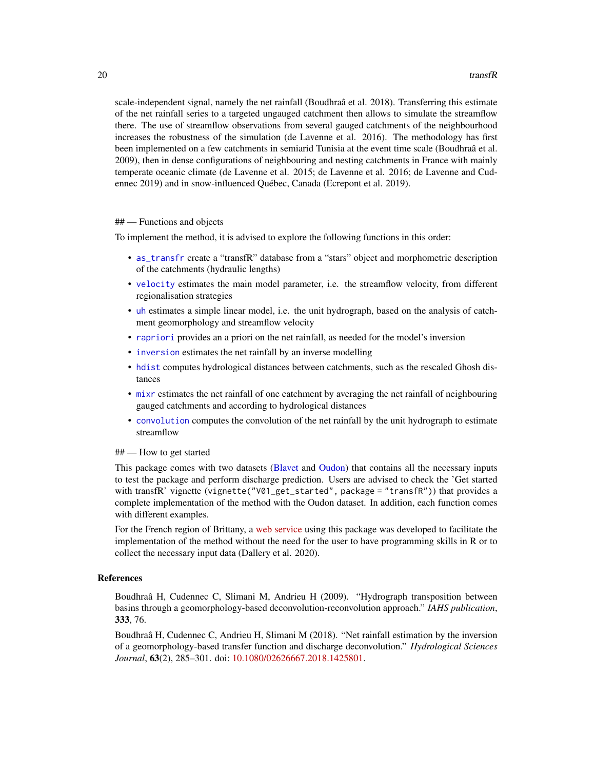<span id="page-19-0"></span>scale-independent signal, namely the net rainfall (Boudhraâ et al. 2018). Transferring this estimate of the net rainfall series to a targeted ungauged catchment then allows to simulate the streamflow there. The use of streamflow observations from several gauged catchments of the neighbourhood increases the robustness of the simulation (de Lavenne et al. 2016). The methodology has first been implemented on a few catchments in semiarid Tunisia at the event time scale (Boudhraâ et al. 2009), then in dense configurations of neighbouring and nesting catchments in France with mainly temperate oceanic climate (de Lavenne et al. 2015; de Lavenne et al. 2016; de Lavenne and Cudennec 2019) and in snow-influenced Québec, Canada (Ecrepont et al. 2019).

#### ## — Functions and objects

To implement the method, it is advised to explore the following functions in this order:

- [as\\_transfr](#page-1-1) create a "transfR" database from a "stars" object and morphometric description of the catchments (hydraulic lengths)
- [velocity](#page-21-1) estimates the main model parameter, i.e. the streamflow velocity, from different regionalisation strategies
- [uh](#page-20-1) estimates a simple linear model, i.e. the unit hydrograph, based on the analysis of catchment geomorphology and streamflow velocity
- [rapriori](#page-17-1) provides an a priori on the net rainfall, as needed for the model's inversion
- [inversion](#page-7-1) estimates the net rainfall by an inverse modelling
- [hdist](#page-5-1) computes hydrological distances between catchments, such as the rescaled Ghosh distances
- [mixr](#page-11-1) estimates the net rainfall of one catchment by averaging the net rainfall of neighbouring gauged catchments and according to hydrological distances
- [convolution](#page-4-1) computes the convolution of the net rainfall by the unit hydrograph to estimate streamflow

#### ## — How to get started

This package comes with two datasets [\(Blavet](#page-3-1) and [Oudon\)](#page-13-1) that contains all the necessary inputs to test the package and perform discharge prediction. Users are advised to check the 'Get started with transfR' vignette (vignette("V01\_get\_started", package = "transfR")) that provides a complete implementation of the method with the Oudon dataset. In addition, each function comes with different examples.

For the French region of Brittany, a [web service](https://geosas.fr/simfen/) using this package was developed to facilitate the implementation of the method without the need for the user to have programming skills in R or to collect the necessary input data (Dallery et al. 2020).

#### References

Boudhraâ H, Cudennec C, Slimani M, Andrieu H (2009). "Hydrograph transposition between basins through a geomorphology-based deconvolution-reconvolution approach." *IAHS publication*, 333, 76.

Boudhraâ H, Cudennec C, Andrieu H, Slimani M (2018). "Net rainfall estimation by the inversion of a geomorphology-based transfer function and discharge deconvolution." *Hydrological Sciences Journal*, 63(2), 285–301. doi: [10.1080/02626667.2018.1425801.](https://doi.org/10.1080/02626667.2018.1425801)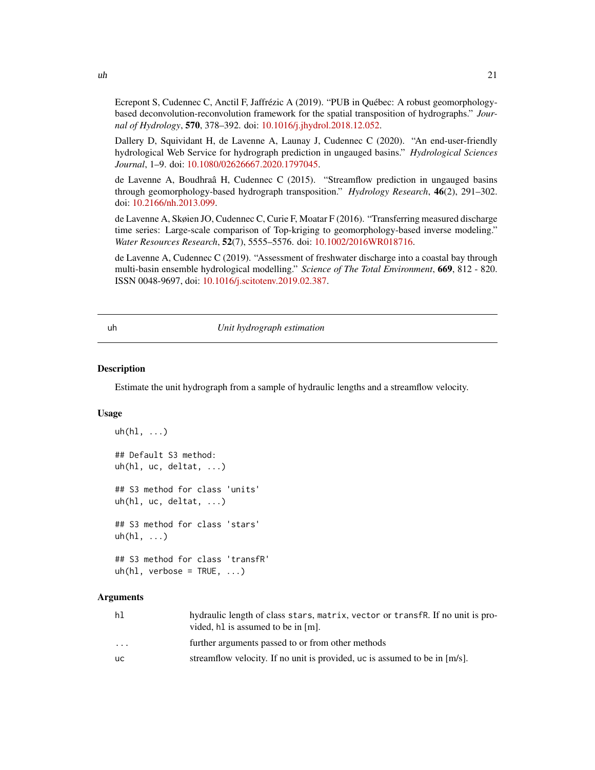<span id="page-20-0"></span>

Dallery D, Squividant H, de Lavenne A, Launay J, Cudennec C (2020). "An end-user-friendly hydrological Web Service for hydrograph prediction in ungauged basins." *Hydrological Sciences Journal*, 1–9. doi: [10.1080/02626667.2020.1797045.](https://doi.org/10.1080/02626667.2020.1797045)

de Lavenne A, Boudhraâ H, Cudennec C (2015). "Streamflow prediction in ungauged basins through geomorphology-based hydrograph transposition." *Hydrology Research*, 46(2), 291–302. doi: [10.2166/nh.2013.099.](https://doi.org/10.2166/nh.2013.099)

de Lavenne A, Skøien JO, Cudennec C, Curie F, Moatar F (2016). "Transferring measured discharge time series: Large-scale comparison of Top-kriging to geomorphology-based inverse modeling." *Water Resources Research*, 52(7), 5555–5576. doi: [10.1002/2016WR018716.](https://doi.org/10.1002/2016WR018716)

de Lavenne A, Cudennec C (2019). "Assessment of freshwater discharge into a coastal bay through multi-basin ensemble hydrological modelling." *Science of The Total Environment*, 669, 812 - 820. ISSN 0048-9697, doi: [10.1016/j.scitotenv.2019.02.387.](https://doi.org/10.1016/j.scitotenv.2019.02.387)

<span id="page-20-1"></span>

#### uh *Unit hydrograph estimation*

#### Description

Estimate the unit hydrograph from a sample of hydraulic lengths and a streamflow velocity.

#### Usage

```
uh(h1, \ldots)## Default S3 method:
uh(hl, uc, deltat, ...)
## S3 method for class 'units'
uh(hl, uc, deltat, ...)
## S3 method for class 'stars'
uh(h1, \ldots)## S3 method for class 'transfR'
uh(h1, verbose = TRUE, \dots)
```

| hl                      | hydraulic length of class stars, matrix, vector or transfR. If no unit is pro-<br>vided, h1 is assumed to be in [m]. |
|-------------------------|----------------------------------------------------------------------------------------------------------------------|
| $\cdot$ $\cdot$ $\cdot$ | further arguments passed to or from other methods                                                                    |
| uс                      | streamflow velocity. If no unit is provided, uc is assumed to be in $[m/s]$ .                                        |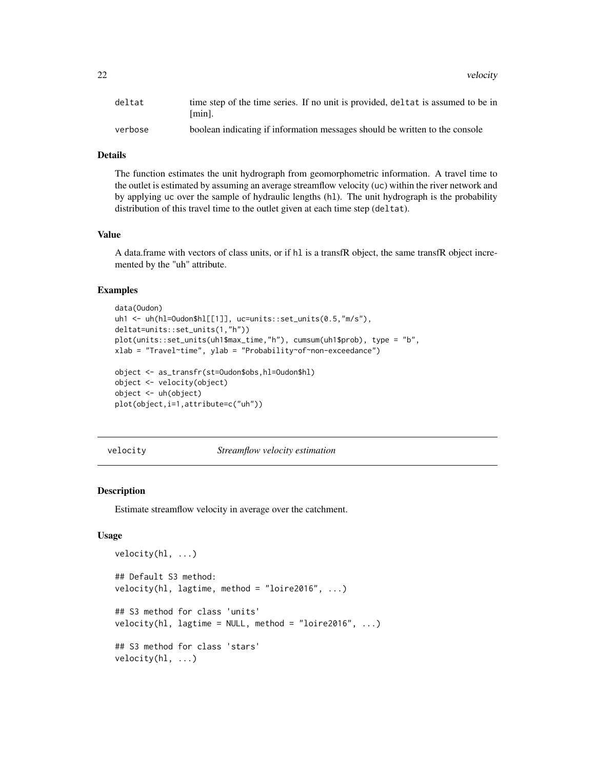<span id="page-21-0"></span>22 velocity and the contract of the contract of the contract of the contract of the contract of the contract of the contract of the contract of the contract of the contract of the contract of the contract of the contract o

| deltat  | time step of the time series. If no unit is provided, deletat is assumed to be in<br>[min]. |
|---------|---------------------------------------------------------------------------------------------|
| verbose | boolean indicating if information messages should be written to the console                 |

#### Details

The function estimates the unit hydrograph from geomorphometric information. A travel time to the outlet is estimated by assuming an average streamflow velocity (uc) within the river network and by applying uc over the sample of hydraulic lengths (hl). The unit hydrograph is the probability distribution of this travel time to the outlet given at each time step (deltat).

#### Value

A data.frame with vectors of class units, or if hl is a transfR object, the same transfR object incremented by the "uh" attribute.

#### Examples

```
data(Oudon)
uh1 <- uh(hl=Oudon$hl[[1]], uc=units::set_units(0.5,"m/s"),
deltat=units::set_units(1,"h"))
plot(units::set_units(uh1$max_time,"h"), cumsum(uh1$prob), type = "b",
xlab = "Travel~time", ylab = "Probability~of~non-exceedance")
object <- as_transfr(st=Oudon$obs,hl=Oudon$hl)
object <- velocity(object)
object <- uh(object)
plot(object,i=1,attribute=c("uh"))
```
<span id="page-21-1"></span>velocity *Streamflow velocity estimation*

#### Description

Estimate streamflow velocity in average over the catchment.

#### Usage

```
velocity(hl, ...)
## Default S3 method:
velocity(hl, lagtime, method = "loire2016", ...)
## S3 method for class 'units'
velocity(hl, lagtime = NULL, method = "loire2016", \dots)
## S3 method for class 'stars'
velocity(hl, ...)
```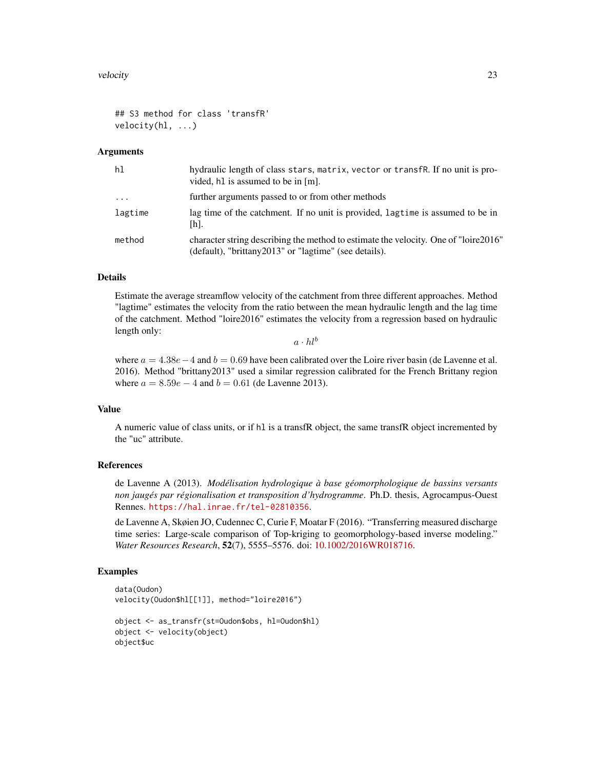```
## S3 method for class 'transfR'
velocity(hl, ...)
```
#### Arguments

| hl        | hydraulic length of class stars, matrix, vector or transfR. If no unit is pro-<br>vided, h1 is assumed to be in [m].                          |
|-----------|-----------------------------------------------------------------------------------------------------------------------------------------------|
| $\ddotsc$ | further arguments passed to or from other methods                                                                                             |
| lagtime   | lag time of the catchment. If no unit is provided, lagtime is assumed to be in<br>$[h]$ .                                                     |
| method    | character string describing the method to estimate the velocity. One of "loire 2016"<br>(default), "brittany2013" or "lagtime" (see details). |

#### Details

Estimate the average streamflow velocity of the catchment from three different approaches. Method "lagtime" estimates the velocity from the ratio between the mean hydraulic length and the lag time of the catchment. Method "loire2016" estimates the velocity from a regression based on hydraulic length only:

 $a \cdot h l^b$ 

where  $a = 4.38e - 4$  and  $b = 0.69$  have been calibrated over the Loire river basin (de Lavenne et al. 2016). Method "brittany2013" used a similar regression calibrated for the French Brittany region where  $a = 8.59e - 4$  and  $b = 0.61$  (de Lavenne 2013).

#### Value

A numeric value of class units, or if hl is a transfR object, the same transfR object incremented by the "uc" attribute.

#### References

de Lavenne A (2013). *Modélisation hydrologique à base géomorphologique de bassins versants non jaugés par régionalisation et transposition d'hydrogramme*. Ph.D. thesis, Agrocampus-Ouest Rennes. <https://hal.inrae.fr/tel-02810356>.

de Lavenne A, Skøien JO, Cudennec C, Curie F, Moatar F (2016). "Transferring measured discharge time series: Large-scale comparison of Top-kriging to geomorphology-based inverse modeling." *Water Resources Research*, 52(7), 5555–5576. doi: [10.1002/2016WR018716.](https://doi.org/10.1002/2016WR018716)

#### Examples

```
data(Oudon)
velocity(Oudon$hl[[1]], method="loire2016")
object <- as_transfr(st=Oudon$obs, hl=Oudon$hl)
object <- velocity(object)
object$uc
```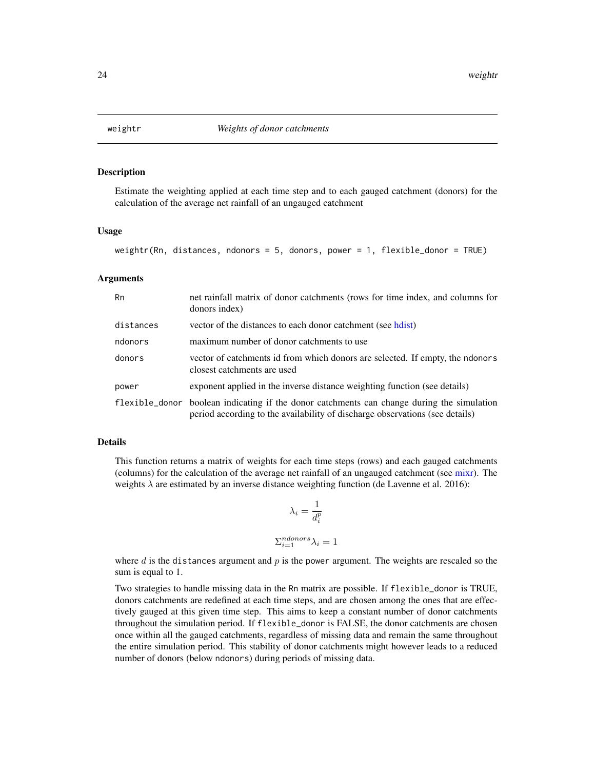<span id="page-23-1"></span><span id="page-23-0"></span>

#### Description

Estimate the weighting applied at each time step and to each gauged catchment (donors) for the calculation of the average net rainfall of an ungauged catchment

#### Usage

```
weightr(Rn, distances, ndonors = 5, donors, power = 1, flexible_donor = TRUE)
```
#### Arguments

| Rn        | net rainfall matrix of donor catchments (rows for time index, and columns for<br>donors index)                                                                             |
|-----------|----------------------------------------------------------------------------------------------------------------------------------------------------------------------------|
| distances | vector of the distances to each donor catchment (see hours)                                                                                                                |
| ndonors   | maximum number of donor catchments to use                                                                                                                                  |
| donors    | vector of catchments id from which donors are selected. If empty, the ndonors<br>closest catchments are used                                                               |
| power     | exponent applied in the inverse distance weighting function (see details)                                                                                                  |
|           | flexible_donor boolean indicating if the donor catchments can change during the simulation<br>period according to the availability of discharge observations (see details) |

#### Details

This function returns a matrix of weights for each time steps (rows) and each gauged catchments (columns) for the calculation of the average net rainfall of an ungauged catchment (see [mixr\)](#page-11-1). The weights  $\lambda$  are estimated by an inverse distance weighting function (de Lavenne et al. 2016):

$$
\lambda_i = \frac{1}{d_i^p}
$$

$$
\sum_{i=1}^{ndonors} \lambda_i = 1
$$

where  $d$  is the distances argument and  $p$  is the power argument. The weights are rescaled so the sum is equal to 1.

Two strategies to handle missing data in the Rn matrix are possible. If flexible\_donor is TRUE, donors catchments are redefined at each time steps, and are chosen among the ones that are effectively gauged at this given time step. This aims to keep a constant number of donor catchments throughout the simulation period. If flexible\_donor is FALSE, the donor catchments are chosen once within all the gauged catchments, regardless of missing data and remain the same throughout the entire simulation period. This stability of donor catchments might however leads to a reduced number of donors (below ndonors) during periods of missing data.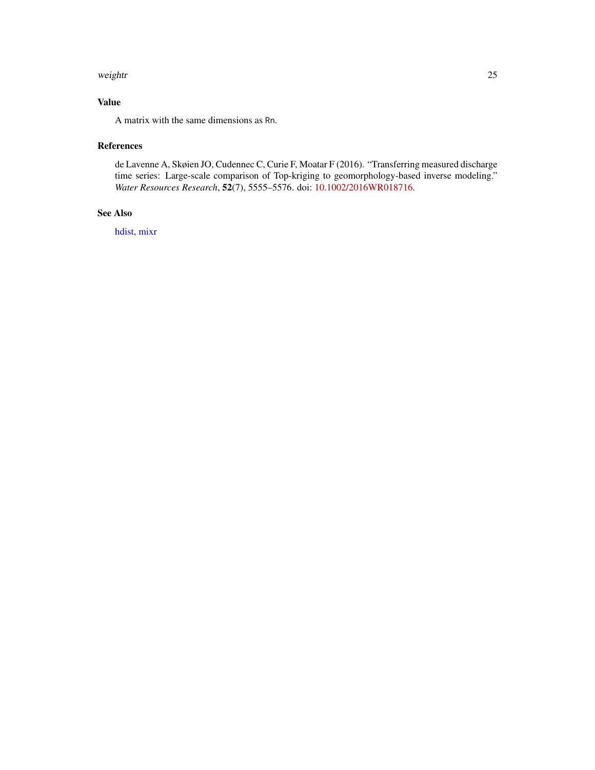#### <span id="page-24-0"></span>weightr 25

#### Value

A matrix with the same dimensions as Rn.

#### References

de Lavenne A, Skøien JO, Cudennec C, Curie F, Moatar F (2016). "Transferring measured discharge time series: Large-scale comparison of Top-kriging to geomorphology-based inverse modeling." *Water Resources Research*, 52(7), 5555–5576. doi: [10.1002/2016WR018716.](https://doi.org/10.1002/2016WR018716)

#### See Also

[hdist,](#page-5-1) [mixr](#page-11-1)